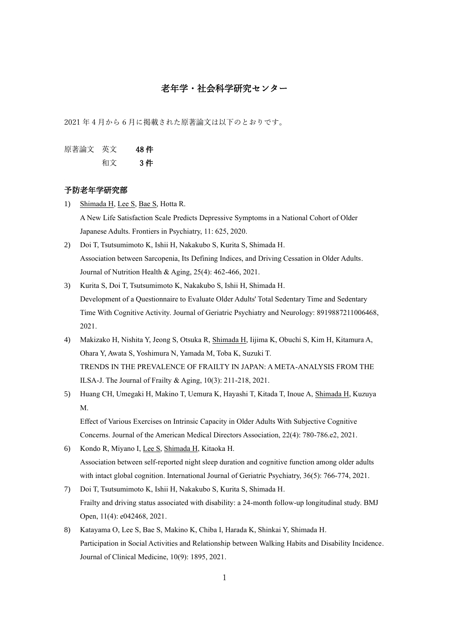## 老年学・社会科学研究センター

2021 年 4 月から 6 月に掲載された原著論文は以下のとおりです。

原著論文 英文 48 件

# 和文 3 件

#### 予防老年学研究部

- 1) Shimada H, Lee S, Bae S, Hotta R. A New Life Satisfaction Scale Predicts Depressive Symptoms in a National Cohort of Older Japanese Adults. Frontiers in Psychiatry, 11: 625, 2020.
- 2) Doi T, Tsutsumimoto K, Ishii H, Nakakubo S, Kurita S, Shimada H. Association between Sarcopenia, Its Defining Indices, and Driving Cessation in Older Adults. Journal of Nutrition Health & Aging, 25(4): 462-466, 2021.
- 3) Kurita S, Doi T, Tsutsumimoto K, Nakakubo S, Ishii H, Shimada H. Development of a Questionnaire to Evaluate Older Adults' Total Sedentary Time and Sedentary Time With Cognitive Activity. Journal of Geriatric Psychiatry and Neurology: 8919887211006468, 2021.
- 4) Makizako H, Nishita Y, Jeong S, Otsuka R, Shimada H, Iijima K, Obuchi S, Kim H, Kitamura A, Ohara Y, Awata S, Yoshimura N, Yamada M, Toba K, Suzuki T. TRENDS IN THE PREVALENCE OF FRAILTY IN JAPAN: A META-ANALYSIS FROM THE ILSA-J. The Journal of Frailty & Aging, 10(3): 211-218, 2021.
- 5) Huang CH, Umegaki H, Makino T, Uemura K, Hayashi T, Kitada T, Inoue A, Shimada H, Kuzuya M.

Effect of Various Exercises on Intrinsic Capacity in Older Adults With Subjective Cognitive Concerns. Journal of the American Medical Directors Association, 22(4): 780-786.e2, 2021.

- 6) Kondo R, Miyano I, Lee S, Shimada H, Kitaoka H. Association between self-reported night sleep duration and cognitive function among older adults with intact global cognition. International Journal of Geriatric Psychiatry, 36(5): 766-774, 2021.
- 7) Doi T, Tsutsumimoto K, Ishii H, Nakakubo S, Kurita S, Shimada H. Frailty and driving status associated with disability: a 24-month follow-up longitudinal study. BMJ Open, 11(4): e042468, 2021.
- 8) Katayama O, Lee S, Bae S, Makino K, Chiba I, Harada K, Shinkai Y, Shimada H. Participation in Social Activities and Relationship between Walking Habits and Disability Incidence. Journal of Clinical Medicine, 10(9): 1895, 2021.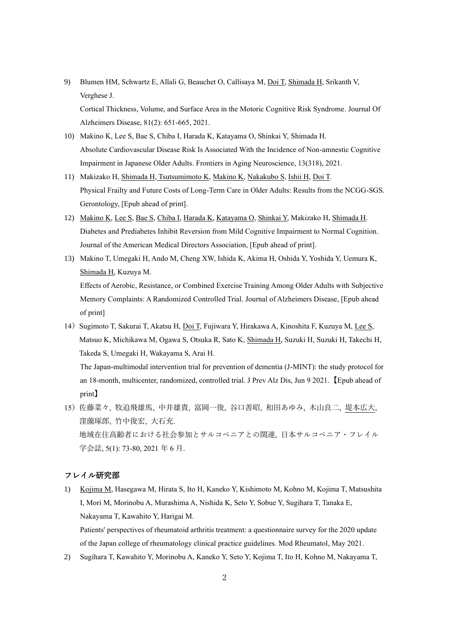9) Blumen HM, Schwartz E, Allali G, Beauchet O, Callisaya M, Doi T, Shimada H, Srikanth V, Verghese J.

Cortical Thickness, Volume, and Surface Area in the Motoric Cognitive Risk Syndrome. Journal Of Alzheimers Disease, 81(2): 651-665, 2021.

- 10) Makino K, Lee S, Bae S, Chiba I, Harada K, Katayama O, Shinkai Y, Shimada H. Absolute Cardiovascular Disease Risk Is Associated With the Incidence of Non-amnestic Cognitive Impairment in Japanese Older Adults. Frontiers in Aging Neuroscience, 13(318), 2021.
- 11) Makizako H, Shimada H, Tsutsumimoto K, Makino K, Nakakubo S, Ishii H, Doi T. Physical Frailty and Future Costs of Long-Term Care in Older Adults: Results from the NCGG-SGS. Gerontology, [Epub ahead of print].
- 12) Makino K, Lee S, Bae S, Chiba I, Harada K, Katayama O, Shinkai Y, Makizako H, Shimada H. Diabetes and Prediabetes Inhibit Reversion from Mild Cognitive Impairment to Normal Cognition. Journal of the American Medical Directors Association, [Epub ahead of print].
- 13) Makino T, Umegaki H, Ando M, Cheng XW, Ishida K, Akima H, Oshida Y, Yoshida Y, Uemura K, Shimada H, Kuzuya M. Effects of Aerobic, Resistance, or Combined Exercise Training Among Older Adults with Subjective Memory Complaints: A Randomized Controlled Trial. Journal of Alzheimers Disease, [Epub ahead of print]
- 14) Sugimoto T, Sakurai T, Akatsu H, Doi T, Fujiwara Y, Hirakawa A, Kinoshita F, Kuzuya M, Lee S, Matsuo K, Michikawa M, Ogawa S, Otsuka R, Sato K, Shimada H, Suzuki H, Suzuki H, Takechi H, Takeda S, Umegaki H, Wakayama S, Arai H.

The Japan-multimodal intervention trial for prevention of dementia (J-MINT): the study protocol for an 18-month, multicenter, randomized, controlled trial. J Prev Alz Dis, Jun 9 2021.【Epub ahead of print】

15)佐藤菜々, 牧迫飛雄馬, 中井雄貴, 富岡一俊, 谷口善昭, 和田あゆみ, 木山良二, 堤本広大, 窪薗琢郎, 竹中俊宏, 大石充. 地域在住高齢者における社会参加とサルコペニアとの関連, 日本サルコペニア・フレイル 学会誌, 5(1): 73-80, 2021 年 6 月.

#### フレイル研究部

- 1) Kojima M, Hasegawa M, Hirata S, Ito H, Kaneko Y, Kishimoto M, Kohno M, Kojima T, Matsushita I, Mori M, Morinobu A, Murashima A, Nishida K, Seto Y, Sobue Y, Sugihara T, Tanaka E, Nakayama T, Kawahito Y, Harigai M. Patients' perspectives of rheumatoid arthritis treatment: a questionnaire survey for the 2020 update of the Japan college of rheumatology clinical practice guidelines. Mod Rheumatol, May 2021.
- 2) Sugihara T, Kawahito Y, Morinobu A, Kaneko Y, Seto Y, Kojima T, Ito H, Kohno M, Nakayama T,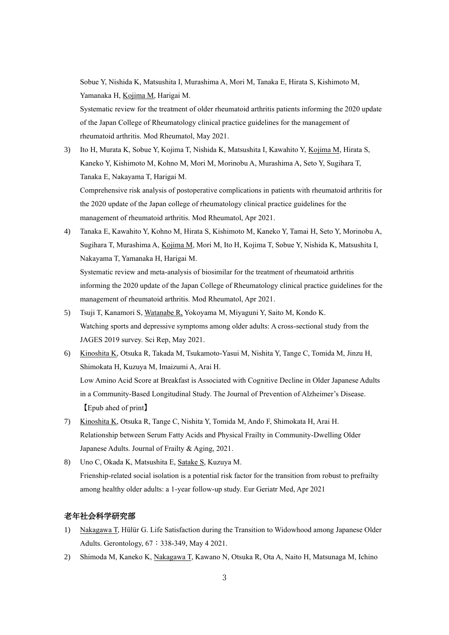Sobue Y, Nishida K, Matsushita I, Murashima A, Mori M, Tanaka E, Hirata S, Kishimoto M, Yamanaka H, Kojima M, Harigai M.

Systematic review for the treatment of older rheumatoid arthritis patients informing the 2020 update of the Japan College of Rheumatology clinical practice guidelines for the management of rheumatoid arthritis. Mod Rheumatol, May 2021.

- 3) Ito H, Murata K, Sobue Y, Kojima T, Nishida K, Matsushita I, Kawahito Y, Kojima M, Hirata S, Kaneko Y, Kishimoto M, Kohno M, Mori M, Morinobu A, Murashima A, Seto Y, Sugihara T, Tanaka E, Nakayama T, Harigai M. Comprehensive risk analysis of postoperative complications in patients with rheumatoid arthritis for the 2020 update of the Japan college of rheumatology clinical practice guidelines for the management of rheumatoid arthritis. Mod Rheumatol, Apr 2021.
- 4) Tanaka E, Kawahito Y, Kohno M, Hirata S, Kishimoto M, Kaneko Y, Tamai H, Seto Y, Morinobu A, Sugihara T, Murashima A, Kojima M, Mori M, Ito H, Kojima T, Sobue Y, Nishida K, Matsushita I, Nakayama T, Yamanaka H, Harigai M. Systematic review and meta-analysis of biosimilar for the treatment of rheumatoid arthritis informing the 2020 update of the Japan College of Rheumatology clinical practice guidelines for the

management of rheumatoid arthritis. Mod Rheumatol, Apr 2021.

- 5) Tsuji T, Kanamori S, Watanabe R, Yokoyama M, Miyaguni Y, Saito M, Kondo K. Watching sports and depressive symptoms among older adults: A cross-sectional study from the JAGES 2019 survey. Sci Rep, May 2021.
- 6) Kinoshita K, Otsuka R, Takada M, Tsukamoto-Yasui M, Nishita Y, Tange C, Tomida M, Jinzu H, Shimokata H, Kuzuya M, Imaizumi A, Arai H. Low Amino Acid Score at Breakfast is Associated with Cognitive Decline in Older Japanese Adults in a Community-Based Longitudinal Study. The Journal of Prevention of Alzheimer's Disease. 【Epub ahed of print】
- 7) Kinoshita K, Otsuka R, Tange C, Nishita Y, Tomida M, Ando F, Shimokata H, Arai H. Relationship between Serum Fatty Acids and Physical Frailty in Community-Dwelling Older Japanese Adults. Journal of Frailty & Aging, 2021.
- 8) Uno C, Okada K, Matsushita E, Satake S, Kuzuya M. Frienship-related social isolation is a potential risk factor for the transition from robust to prefrailty among healthy older adults: a 1-year follow-up study. Eur Geriatr Med, Apr 2021

### 老年社会科学研究部

- 1) Nakagawa T, Hülür G. Life Satisfaction during the Transition to Widowhood among Japanese Older Adults. Gerontology, 67:338-349, May 4 2021.
- 2) Shimoda M, Kaneko K, Nakagawa T, Kawano N, Otsuka R, Ota A, Naito H, Matsunaga M, Ichino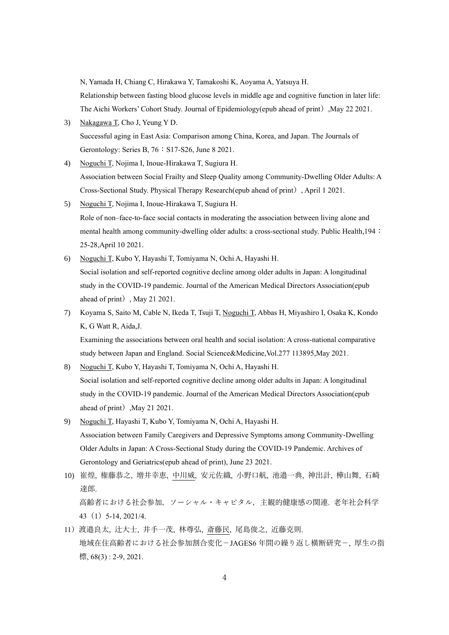N, Yamada H, Chiang C, Hirakawa Y, Tamakoshi K, Aoyama A, Yatsuya H.

Relationship between fasting blood glucose levels in middle age and cognitive function in later life: The Aichi Workers' Cohort Study. Journal of Epidemiology(epub ahead of print), May 22 2021.

- 3) Nakagawa T, Cho J, Yeung Y D. Successful aging in East Asia: Comparison among China, Korea, and Japan. The Journals of Gerontology: Series B, 76: S17-S26, June 8 2021.
- 4) Noguchi T, Nojima I, Inoue-Hirakawa T, Sugiura H. Association between Social Frailty and Sleep Quality among Community-Dwelling Older Adults: A Cross-Sectional Study. Physical Therapy Research(epub ahead of print), April 1 2021.
- 5) Noguchi T, Nojima I, Inoue-Hirakawa T, Sugiura H. Role of non–face-to-face social contacts in moderating the association between living alone and mental health among community-dwelling older adults: a cross-sectional study. Public Health,194: 25-28,April 10 2021.
- 6) Noguchi T, Kubo Y, Hayashi T, Tomiyama N, Ochi A, Hayashi H. Social isolation and self-reported cognitive decline among older adults in Japan: A longitudinal study in the COVID-19 pandemic. Journal of the American Medical Directors Association(epub ahead of print), May 21 2021.
- 7) Koyama S, Saito M, Cable N, Ikeda T, Tsuji T, Noguchi T, Abbas H, Miyashiro I, Osaka K, Kondo K, G Watt R, Aida,J.

Examining the associations between oral health and social isolation: A cross-national comparative study between Japan and England. Social Science&Medicine,Vol.277 113895,May 2021.

- 8) Noguchi T, Kubo Y, Hayashi T, Tomiyama N, Ochi A, Hayashi H. Social isolation and self-reported cognitive decline among older adults in Japan: A longitudinal study in the COVID-19 pandemic. Journal of the American Medical Directors Association(epub ahead of print), May 21 2021.
- 9) Noguchi T, Hayashi T, Kubo Y, Tomiyama N, Ochi A, Hayashi H. Association between Family Caregivers and Depressive Symptoms among Community-Dwelling Older Adults in Japan: A Cross-Sectional Study during the COVID-19 Pandemic. Archives of Gerontology and Geriatrics(epub ahead of print), June 23 2021.
- 10) 崔煌, 権藤恭之, 増井幸恵, 中川威, 安元佐織, 小野口航, 池邉一典, 神出計, 樺山舞, 石崎 達郎. 高齢者における社会参加,ソーシャル・キャピタル,主観的健康感の関連. 老年社会科学 43(1)5-14, 2021/4.
- 11)渡邉良太, 辻大士, 井手一茂, 林尊弘, 斎藤民, 尾島俊之, 近藤克則. 地域在住高齢者における社会参加割合変化-JAGES6 年間の繰り返し横断研究-, 厚生の指 標,  $68(3)$ : 2-9, 2021.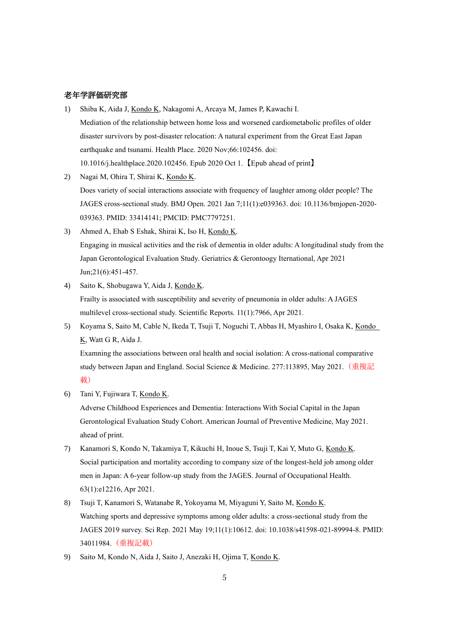#### 老年学評価研究部

- 1) Shiba K, Aida J, Kondo K, Nakagomi A, Arcaya M, James P, Kawachi I. Mediation of the relationship between home loss and worsened cardiometabolic profiles of older disaster survivors by post-disaster relocation: A natural experiment from the Great East Japan earthquake and tsunami. Health Place. 2020 Nov;66:102456. doi: 10.1016/j.healthplace.2020.102456. Epub 2020 Oct 1.【Epub ahead of print】
- 2) Nagai M, Ohira T, Shirai K, Kondo K. Does variety of social interactions associate with frequency of laughter among older people? The JAGES cross-sectional study. BMJ Open. 2021 Jan 7;11(1):e039363. doi: 10.1136/bmjopen-2020- 039363. PMID: 33414141; PMCID: PMC7797251.
- 3) Ahmed A, Ehab S Eshak, Shirai K, Iso H, Kondo K. Engaging in musical activities and the risk of dementia in older adults: A longitudinal study from the Japan Gerontological Evaluation Study. Geriatrics & Gerontoogy Iternational, Apr 2021 Jun;21(6):451-457.
- 4) Saito K, Shobugawa Y, Aida J, Kondo K. Frailty is associated with susceptibility and severity of pneumonia in older adults: A JAGES multilevel cross-sectional study. Scientific Reports. 11(1):7966, Apr 2021.
- 5) Koyama S, Saito M, Cable N, Ikeda T, Tsuji T, Noguchi T, Abbas H, Myashiro I, Osaka K, Kondo K, Watt G R, Aida J.

Examning the associations between oral health and social isolation: A cross-national comparative study between Japan and England. Social Science & Medicine. 277:113895, May 2021. (重複記 載)

6) Tani Y, Fujiwara T, Kondo K.

Adverse Childhood Experiences and Dementia: Interactions With Social Capital in the Japan Gerontological Evaluation Study Cohort. American Journal of Preventive Medicine, May 2021. ahead of print.

- 7) Kanamori S, Kondo N, Takamiya T, Kikuchi H, Inoue S, Tsuji T, Kai Y, Muto G, Kondo K. Social participation and mortality according to company size of the longest-held job among older men in Japan: A 6-year follow-up study from the JAGES. Journal of Occupational Health. 63(1):e12216, Apr 2021.
- 8) Tsuji T, Kanamori S, Watanabe R, Yokoyama M, Miyaguni Y, Saito M, Kondo K. Watching sports and depressive symptoms among older adults: a cross-sectional study from the JAGES 2019 survey. Sci Rep. 2021 May 19;11(1):10612. doi: 10.1038/s41598-021-89994-8. PMID: 34011984.(重複記載)
- 9) Saito M, Kondo N, Aida J, Saito J, Anezaki H, Ojima T, Kondo K.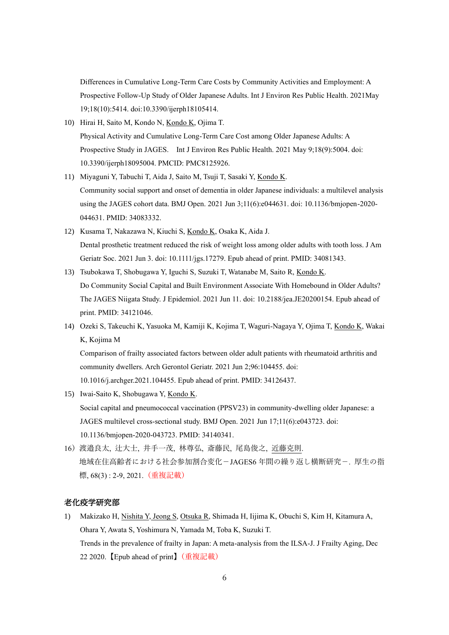Differences in Cumulative Long-Term Care Costs by Community Activities and Employment: A Prospective Follow-Up Study of Older Japanese Adults. Int J Environ Res Public Health. 2021May 19;18(10):5414. doi:10.3390/ijerph18105414.

- 10) Hirai H, Saito M, Kondo N, Kondo K, Ojima T. Physical Activity and Cumulative Long-Term Care Cost among Older Japanese Adults: A Prospective Study in JAGES. Int J Environ Res Public Health. 2021 May 9;18(9):5004. doi: 10.3390/ijerph18095004. PMCID: PMC8125926.
- 11) Miyaguni Y, Tabuchi T, Aida J, Saito M, Tsuji T, Sasaki Y, Kondo K. Community social support and onset of dementia in older Japanese individuals: a multilevel analysis using the JAGES cohort data. BMJ Open. 2021 Jun 3;11(6):e044631. doi: 10.1136/bmjopen-2020- 044631. PMID: 34083332.
- 12) Kusama T, Nakazawa N, Kiuchi S, Kondo K, Osaka K, Aida J. Dental prosthetic treatment reduced the risk of weight loss among older adults with tooth loss. J Am Geriatr Soc. 2021 Jun 3. doi: 10.1111/jgs.17279. Epub ahead of print. PMID: 34081343.
- 13) Tsubokawa T, Shobugawa Y, Iguchi S, Suzuki T, Watanabe M, Saito R, Kondo K. Do Community Social Capital and Built Environment Associate With Homebound in Older Adults? The JAGES Niigata Study. J Epidemiol. 2021 Jun 11. doi: 10.2188/jea.JE20200154. Epub ahead of print. PMID: 34121046.
- 14) Ozeki S, Takeuchi K, Yasuoka M, Kamiji K, Kojima T, Waguri-Nagaya Y, Ojima T, Kondo K, Wakai K, Kojima M

Comparison of frailty associated factors between older adult patients with rheumatoid arthritis and community dwellers. Arch Gerontol Geriatr. 2021 Jun 2;96:104455. doi: 10.1016/j.archger.2021.104455. Epub ahead of print. PMID: 34126437.

- 15) Iwai-Saito K, Shobugawa Y, Kondo K. Social capital and pneumococcal vaccination (PPSV23) in community-dwelling older Japanese: a JAGES multilevel cross-sectional study. BMJ Open. 2021 Jun 17;11(6):e043723. doi: 10.1136/bmjopen-2020-043723. PMID: 34140341.
- 16)渡邉良太, 辻大士, 井手一茂, 林尊弘, 斎藤民, 尾島俊之, 近藤克則. 地域在住高齢者における社会参加割合変化-JAGES6 年間の繰り返し横断研究-. 厚生の指 標, 68(3) : 2-9, 2021. (重複記載)

### 老化疫学研究部

1) Makizako H, Nishita Y, Jeong S, Otsuka R, Shimada H, Iijima K, Obuchi S, Kim H, Kitamura A, Ohara Y, Awata S, Yoshimura N, Yamada M, Toba K, Suzuki T. Trends in the prevalence of frailty in Japan: A meta-analysis from the ILSA-J. J Frailty Aging, Dec 22 2020.【Epub ahead of print】(重複記載)